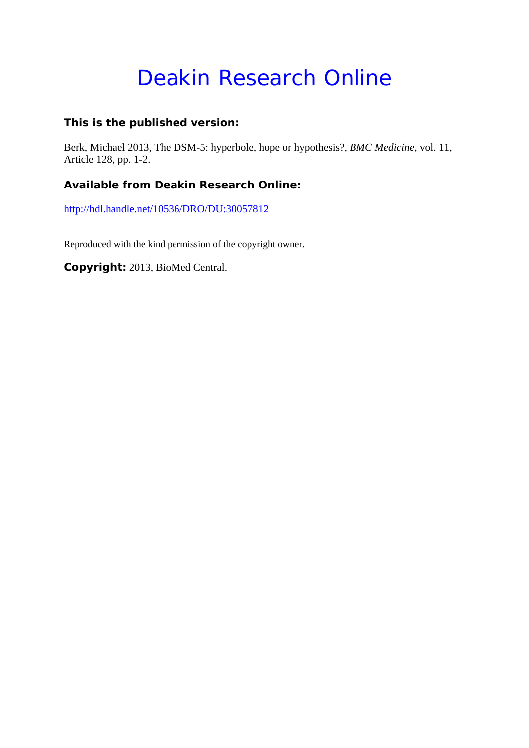# Deakin Research Online

# **This is the published version:**

Berk, Michael 2013, The DSM-5: hyperbole, hope or hypothesis?*, BMC Medicine*, vol. 11, Article 128, pp. 1-2.

# **Available from Deakin Research Online:**

http://hdl.handle.net/10536/DRO/DU:30057812

Reproduced with the kind permission of the copyright owner.

**Copyright:** 2013, BioMed Central.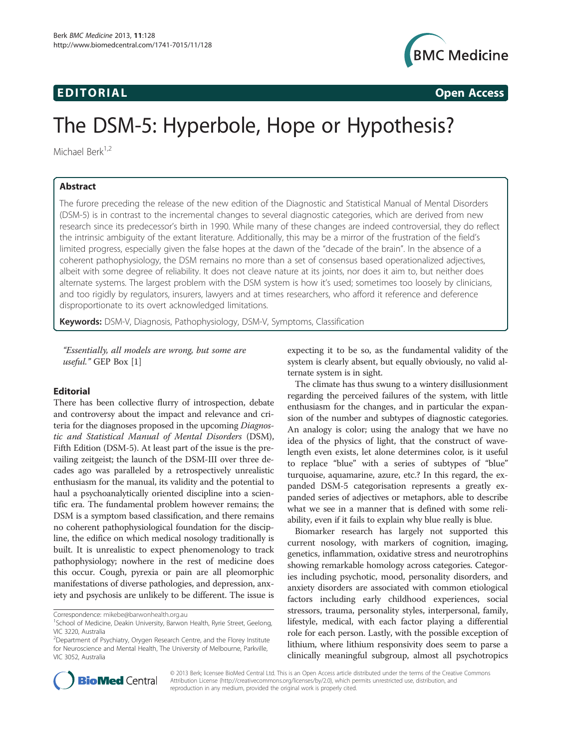# EDI TORIA L Open Access



# The DSM-5: Hyperbole, Hope or Hypothesis?

Michael Berk<sup>1,2</sup>

## Abstract

The furore preceding the release of the new edition of the Diagnostic and Statistical Manual of Mental Disorders (DSM-5) is in contrast to the incremental changes to several diagnostic categories, which are derived from new research since its predecessor's birth in 1990. While many of these changes are indeed controversial, they do reflect the intrinsic ambiguity of the extant literature. Additionally, this may be a mirror of the frustration of the field's limited progress, especially given the false hopes at the dawn of the "decade of the brain". In the absence of a coherent pathophysiology, the DSM remains no more than a set of consensus based operationalized adjectives, albeit with some degree of reliability. It does not cleave nature at its joints, nor does it aim to, but neither does alternate systems. The largest problem with the DSM system is how it's used; sometimes too loosely by clinicians, and too rigidly by regulators, insurers, lawyers and at times researchers, who afford it reference and deference disproportionate to its overt acknowledged limitations.

Keywords: DSM-V, Diagnosis, Pathophysiology, DSM-V, Symptoms, Classification

"Essentially, all models are wrong, but some are useful." GEP Box [\[1\]](#page-2-0)

## Editorial

There has been collective flurry of introspection, debate and controversy about the impact and relevance and criteria for the diagnoses proposed in the upcoming Diagnostic and Statistical Manual of Mental Disorders (DSM), Fifth Edition (DSM-5). At least part of the issue is the prevailing zeitgeist; the launch of the DSM-III over three decades ago was paralleled by a retrospectively unrealistic enthusiasm for the manual, its validity and the potential to haul a psychoanalytically oriented discipline into a scientific era. The fundamental problem however remains; the DSM is a symptom based classification, and there remains no coherent pathophysiological foundation for the discipline, the edifice on which medical nosology traditionally is built. It is unrealistic to expect phenomenology to track pathophysiology; nowhere in the rest of medicine does this occur. Cough, pyrexia or pain are all pleomorphic manifestations of diverse pathologies, and depression, anxiety and psychosis are unlikely to be different. The issue is

Correspondence: [mikebe@barwonhealth.org.au](mailto:mikebe@barwonhealth.org.au) <sup>1</sup>

expecting it to be so, as the fundamental validity of the system is clearly absent, but equally obviously, no valid alternate system is in sight.

The climate has thus swung to a wintery disillusionment regarding the perceived failures of the system, with little enthusiasm for the changes, and in particular the expansion of the number and subtypes of diagnostic categories. An analogy is color; using the analogy that we have no idea of the physics of light, that the construct of wavelength even exists, let alone determines color, is it useful to replace "blue" with a series of subtypes of "blue" turquoise, aquamarine, azure, etc.? In this regard, the expanded DSM-5 categorisation represents a greatly expanded series of adjectives or metaphors, able to describe what we see in a manner that is defined with some reliability, even if it fails to explain why blue really is blue.

Biomarker research has largely not supported this current nosology, with markers of cognition, imaging, genetics, inflammation, oxidative stress and neurotrophins showing remarkable homology across categories. Categories including psychotic, mood, personality disorders, and anxiety disorders are associated with common etiological factors including early childhood experiences, social stressors, trauma, personality styles, interpersonal, family, lifestyle, medical, with each factor playing a differential role for each person. Lastly, with the possible exception of lithium, where lithium responsivity does seem to parse a clinically meaningful subgroup, almost all psychotropics



© 2013 Berk; licensee BioMed Central Ltd. This is an Open Access article distributed under the terms of the Creative Commons Attribution License (<http://creativecommons.org/licenses/by/2.0>), which permits unrestricted use, distribution, and reproduction in any medium, provided the original work is properly cited.

<sup>&</sup>lt;sup>1</sup>School of Medicine, Deakin University, Barwon Health, Ryrie Street, Geelong, VIC 3220, Australia

<sup>&</sup>lt;sup>2</sup>Department of Psychiatry, Orygen Research Centre, and the Florey Institute for Neuroscience and Mental Health, The University of Melbourne, Parkville, VIC 3052, Australia